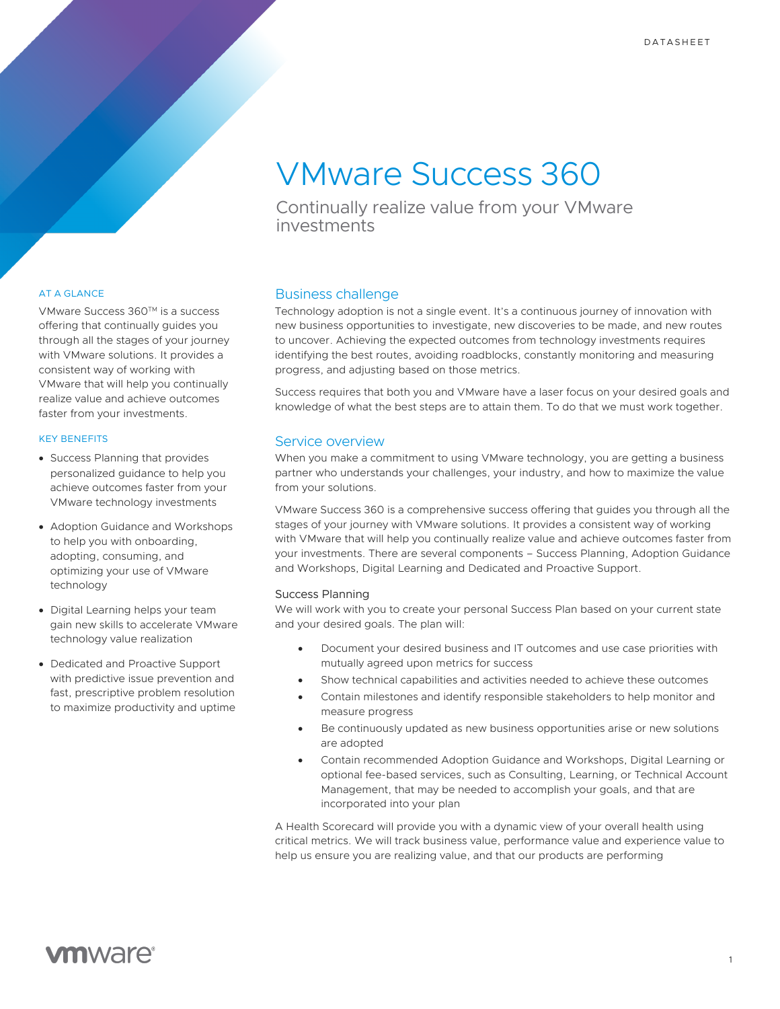# VMware Success 360

Continually realize value from your VMware investments

# AT A GLANCE

VMware Success 360™ is a success offering that continually guides you through all the stages of your journey with VMware solutions. It provides a consistent way of working with VMware that will help you continually realize value and achieve outcomes faster from your investments.

## KEY BENEFITS

- Success Planning that provides personalized guidance to help you achieve outcomes faster from your VMware technology investments
- Adoption Guidance and Workshops to help you with onboarding, adopting, consuming, and optimizing your use of VMware technology
- Digital Learning helps your team gain new skills to accelerate VMware technology value realization
- Dedicated and Proactive Support with predictive issue prevention and fast, prescriptive problem resolution to maximize productivity and uptime

# Business challenge

Technology adoption is not a single event. It's a continuous journey of innovation with new business opportunities to investigate, new discoveries to be made, and new routes to uncover. Achieving the expected outcomes from technology investments requires identifying the best routes, avoiding roadblocks, constantly monitoring and measuring progress, and adjusting based on those metrics.

Success requires that both you and VMware have a laser focus on your desired goals and knowledge of what the best steps are to attain them. To do that we must work together.

# Service overview

When you make a commitment to using VMware technology, you are getting a business partner who understands your challenges, your industry, and how to maximize the value from your solutions.

VMware Success 360 is a comprehensive success offering that guides you through all the stages of your journey with VMware solutions. It provides a consistent way of working with VMware that will help you continually realize value and achieve outcomes faster from your investments. There are several components – Success Planning, Adoption Guidance and Workshops, Digital Learning and Dedicated and Proactive Support.

# Success Planning

We will work with you to create your personal Success Plan based on your current state and your desired goals. The plan will:

- Document your desired business and IT outcomes and use case priorities with mutually agreed upon metrics for success
- Show technical capabilities and activities needed to achieve these outcomes
- Contain milestones and identify responsible stakeholders to help monitor and measure progress
- Be continuously updated as new business opportunities arise or new solutions are adopted
- Contain recommended Adoption Guidance and Workshops, Digital Learning or optional fee-based services, such as Consulting, Learning, or Technical Account Management, that may be needed to accomplish your goals, and that are incorporated into your plan

A Health Scorecard will provide you with a dynamic view of your overall health using critical metrics. We will track business value, performance value and experience value to help us ensure you are realizing value, and that our products are performing

# **vm**ware<sup>®</sup>